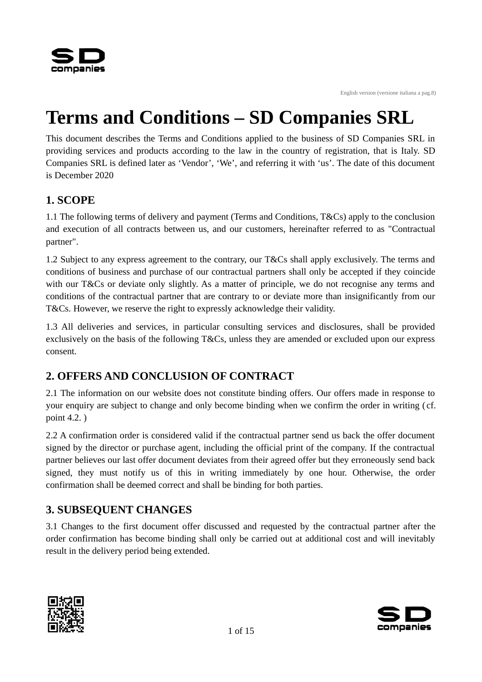

English version (versione italiana a pag.8)

# **Terms and Conditions – SD Companies SRL**

This document describes the Terms and Conditions applied to the business of SD Companies SRL in providing services and products according to the law in the country of registration, that is Italy. SD Companies SRL is defined later as 'Vendor', 'We', and referring it with 'us'. The date of this document is December 2020

## **1. SCOPE**

1.1 The following terms of delivery and payment (Terms and Conditions, T&Cs) apply to the conclusion and execution of all contracts between us, and our customers, hereinafter referred to as "Contractual partner".

1.2 Subject to any express agreement to the contrary, our T&Cs shall apply exclusively. The terms and conditions of business and purchase of our contractual partners shall only be accepted if they coincide with our T&Cs or deviate only slightly. As a matter of principle, we do not recognise any terms and conditions of the contractual partner that are contrary to or deviate more than insignificantly from our T&Cs. However, we reserve the right to expressly acknowledge their validity.

1.3 All deliveries and services, in particular consulting services and disclosures, shall be provided exclusively on the basis of the following T&Cs, unless they are amended or excluded upon our express consent.

## **2. OFFERS AND CONCLUSION OF CONTRACT**

2.1 The information on our website does not constitute binding offers. Our offers made in response to your enquiry are subject to change and only become binding when we confirm the order in writing ( cf. point 4.2. )

2.2 A confirmation order is considered valid if the contractual partner send us back the offer document signed by the director or purchase agent, including the official print of the company. If the contractual partner believes our last offer document deviates from their agreed offer but they erroneously send back signed, they must notify us of this in writing immediately by one hour. Otherwise, the order confirmation shall be deemed correct and shall be binding for both parties.

# **3. SUBSEQUENT CHANGES**

3.1 Changes to the first document offer discussed and requested by the contractual partner after the order confirmation has become binding shall only be carried out at additional cost and will inevitably result in the delivery period being extended.



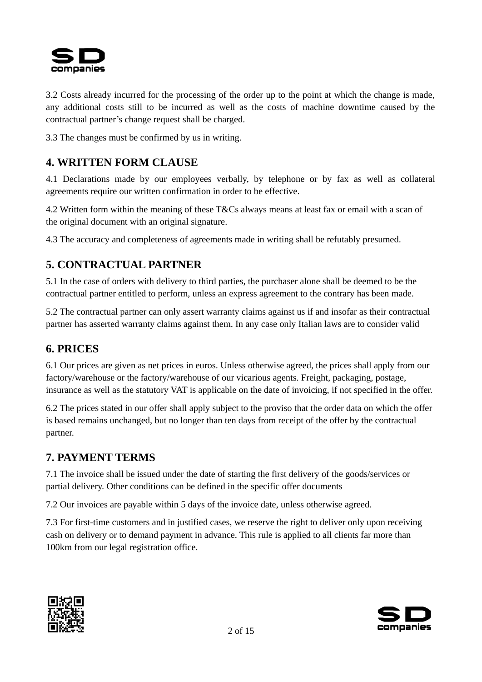

3.2 Costs already incurred for the processing of the order up to the point at which the change is made, any additional costs still to be incurred as well as the costs of machine downtime caused by the contractual partner's change request shall be charged.

3.3 The changes must be confirmed by us in writing.

#### **4. WRITTEN FORM CLAUSE**

4.1 Declarations made by our employees verbally, by telephone or by fax as well as collateral agreements require our written confirmation in order to be effective.

4.2 Written form within the meaning of these T&Cs always means at least fax or email with a scan of the original document with an original signature.

4.3 The accuracy and completeness of agreements made in writing shall be refutably presumed.

#### **5. CONTRACTUAL PARTNER**

5.1 In the case of orders with delivery to third parties, the purchaser alone shall be deemed to be the contractual partner entitled to perform, unless an express agreement to the contrary has been made.

5.2 The contractual partner can only assert warranty claims against us if and insofar as their contractual partner has asserted warranty claims against them. In any case only Italian laws are to consider valid

#### **6. PRICES**

6.1 Our prices are given as net prices in euros. Unless otherwise agreed, the prices shall apply from our factory/warehouse or the factory/warehouse of our vicarious agents. Freight, packaging, postage, insurance as well as the statutory VAT is applicable on the date of invoicing, if not specified in the offer.

6.2 The prices stated in our offer shall apply subject to the proviso that the order data on which the offer is based remains unchanged, but no longer than ten days from receipt of the offer by the contractual partner.

#### **7. PAYMENT TERMS**

7.1 The invoice shall be issued under the date of starting the first delivery of the goods/services or partial delivery. Other conditions can be defined in the specific offer documents

7.2 Our invoices are payable within 5 days of the invoice date, unless otherwise agreed.

7.3 For first-time customers and in justified cases, we reserve the right to deliver only upon receiving cash on delivery or to demand payment in advance. This rule is applied to all clients far more than 100km from our legal registration office.



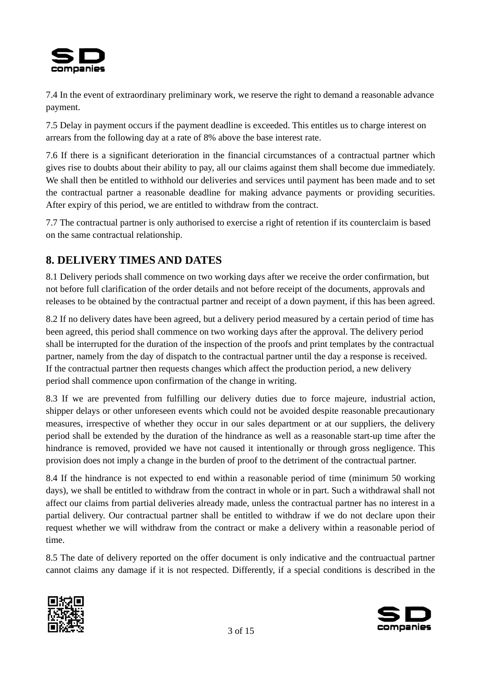

7.4 In the event of extraordinary preliminary work, we reserve the right to demand a reasonable advance payment.

7.5 Delay in payment occurs if the payment deadline is exceeded. This entitles us to charge interest on arrears from the following day at a rate of 8% above the base interest rate.

7.6 If there is a significant deterioration in the financial circumstances of a contractual partner which gives rise to doubts about their ability to pay, all our claims against them shall become due immediately. We shall then be entitled to withhold our deliveries and services until payment has been made and to set the contractual partner a reasonable deadline for making advance payments or providing securities. After expiry of this period, we are entitled to withdraw from the contract.

7.7 The contractual partner is only authorised to exercise a right of retention if its counterclaim is based on the same contractual relationship.

## **8. DELIVERY TIMES AND DATES**

8.1 Delivery periods shall commence on two working days after we receive the order confirmation, but not before full clarification of the order details and not before receipt of the documents, approvals and releases to be obtained by the contractual partner and receipt of a down payment, if this has been agreed.

8.2 If no delivery dates have been agreed, but a delivery period measured by a certain period of time has been agreed, this period shall commence on two working days after the approval. The delivery period shall be interrupted for the duration of the inspection of the proofs and print templates by the contractual partner, namely from the day of dispatch to the contractual partner until the day a response is received. If the contractual partner then requests changes which affect the production period, a new delivery period shall commence upon confirmation of the change in writing.

8.3 If we are prevented from fulfilling our delivery duties due to force majeure, industrial action, shipper delays or other unforeseen events which could not be avoided despite reasonable precautionary measures, irrespective of whether they occur in our sales department or at our suppliers, the delivery period shall be extended by the duration of the hindrance as well as a reasonable start-up time after the hindrance is removed, provided we have not caused it intentionally or through gross negligence. This provision does not imply a change in the burden of proof to the detriment of the contractual partner.

8.4 If the hindrance is not expected to end within a reasonable period of time (minimum 50 working days), we shall be entitled to withdraw from the contract in whole or in part. Such a withdrawal shall not affect our claims from partial deliveries already made, unless the contractual partner has no interest in a partial delivery. Our contractual partner shall be entitled to withdraw if we do not declare upon their request whether we will withdraw from the contract or make a delivery within a reasonable period of time.

8.5 The date of delivery reported on the offer document is only indicative and the contruactual partner cannot claims any damage if it is not respected. Differently, if a special conditions is described in the



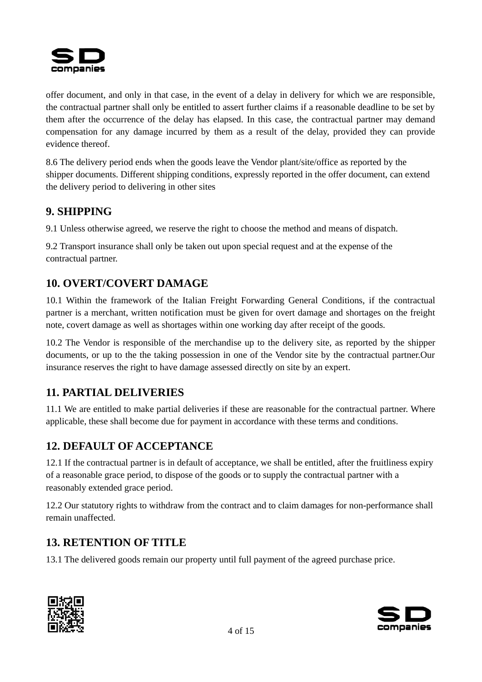

offer document, and only in that case, in the event of a delay in delivery for which we are responsible, the contractual partner shall only be entitled to assert further claims if a reasonable deadline to be set by them after the occurrence of the delay has elapsed. In this case, the contractual partner may demand compensation for any damage incurred by them as a result of the delay, provided they can provide evidence thereof.

8.6 The delivery period ends when the goods leave the Vendor plant/site/office as reported by the shipper documents. Different shipping conditions, expressly reported in the offer document, can extend the delivery period to delivering in other sites

## **9. SHIPPING**

9.1 Unless otherwise agreed, we reserve the right to choose the method and means of dispatch.

9.2 Transport insurance shall only be taken out upon special request and at the expense of the contractual partner.

## **10. OVERT/COVERT DAMAGE**

10.1 Within the framework of the Italian Freight Forwarding General Conditions, if the contractual partner is a merchant, written notification must be given for overt damage and shortages on the freight note, covert damage as well as shortages within one working day after receipt of the goods.

10.2 The Vendor is responsible of the merchandise up to the delivery site, as reported by the shipper documents, or up to the the taking possession in one of the Vendor site by the contractual partner.Our insurance reserves the right to have damage assessed directly on site by an expert.

## **11. PARTIAL DELIVERIES**

11.1 We are entitled to make partial deliveries if these are reasonable for the contractual partner. Where applicable, these shall become due for payment in accordance with these terms and conditions.

## **12. DEFAULT OF ACCEPTANCE**

12.1 If the contractual partner is in default of acceptance, we shall be entitled, after the fruitliness expiry of a reasonable grace period, to dispose of the goods or to supply the contractual partner with a reasonably extended grace period.

12.2 Our statutory rights to withdraw from the contract and to claim damages for non-performance shall remain unaffected.

## **13. RETENTION OF TITLE**

13.1 The delivered goods remain our property until full payment of the agreed purchase price.



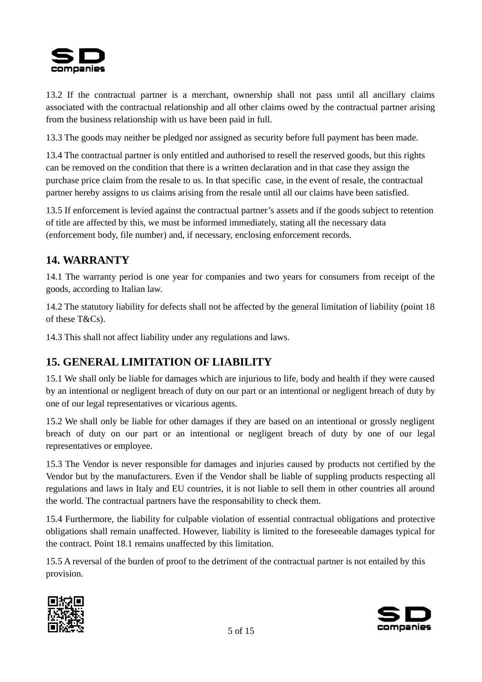

13.2 If the contractual partner is a merchant, ownership shall not pass until all ancillary claims associated with the contractual relationship and all other claims owed by the contractual partner arising from the business relationship with us have been paid in full.

13.3 The goods may neither be pledged nor assigned as security before full payment has been made.

13.4 The contractual partner is only entitled and authorised to resell the reserved goods, but this rights can be removed on the condition that there is a written declaration and in that case they assign the purchase price claim from the resale to us. In that specific case, in the event of resale, the contractual partner hereby assigns to us claims arising from the resale until all our claims have been satisfied.

13.5 If enforcement is levied against the contractual partner's assets and if the goods subject to retention of title are affected by this, we must be informed immediately, stating all the necessary data (enforcement body, file number) and, if necessary, enclosing enforcement records.

## **14. WARRANTY**

14.1 The warranty period is one year for companies and two years for consumers from receipt of the goods, according to Italian law.

14.2 The statutory liability for defects shall not be affected by the general limitation of liability (point 18 of these T&Cs).

14.3 This shall not affect liability under any regulations and laws.

## **15. GENERAL LIMITATION OF LIABILITY**

15.1 We shall only be liable for damages which are injurious to life, body and health if they were caused by an intentional or negligent breach of duty on our part or an intentional or negligent breach of duty by one of our legal representatives or vicarious agents.

15.2 We shall only be liable for other damages if they are based on an intentional or grossly negligent breach of duty on our part or an intentional or negligent breach of duty by one of our legal representatives or employee.

15.3 The Vendor is never responsible for damages and injuries caused by products not certified by the Vendor but by the manufacturers. Even if the Vendor shall be liable of suppling products respecting all regulations and laws in Italy and EU countries, it is not liable to sell them in other countries all around the world. The contractual partners have the responsability to check them.

15.4 Furthermore, the liability for culpable violation of essential contractual obligations and protective obligations shall remain unaffected. However, liability is limited to the foreseeable damages typical for the contract. Point 18.1 remains unaffected by this limitation.

15.5 A reversal of the burden of proof to the detriment of the contractual partner is not entailed by this provision.



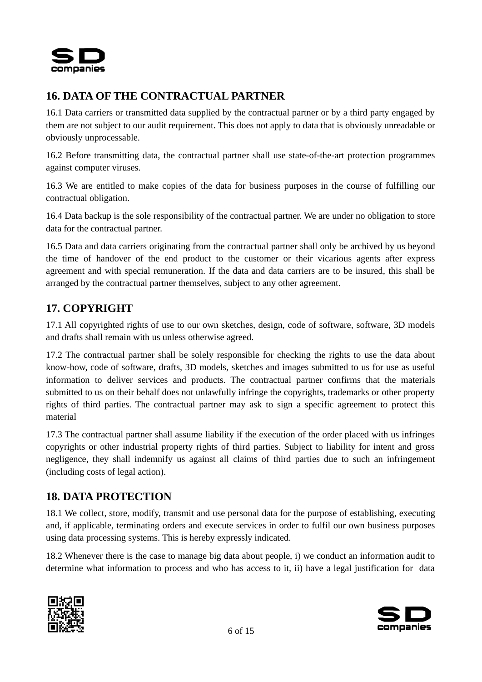

## **16. DATA OF THE CONTRACTUAL PARTNER**

16.1 Data carriers or transmitted data supplied by the contractual partner or by a third party engaged by them are not subject to our audit requirement. This does not apply to data that is obviously unreadable or obviously unprocessable.

16.2 Before transmitting data, the contractual partner shall use state-of-the-art protection programmes against computer viruses.

16.3 We are entitled to make copies of the data for business purposes in the course of fulfilling our contractual obligation.

16.4 Data backup is the sole responsibility of the contractual partner. We are under no obligation to store data for the contractual partner.

16.5 Data and data carriers originating from the contractual partner shall only be archived by us beyond the time of handover of the end product to the customer or their vicarious agents after express agreement and with special remuneration. If the data and data carriers are to be insured, this shall be arranged by the contractual partner themselves, subject to any other agreement.

## **17. COPYRIGHT**

17.1 All copyrighted rights of use to our own sketches, design, code of software, software, 3D models and drafts shall remain with us unless otherwise agreed.

17.2 The contractual partner shall be solely responsible for checking the rights to use the data about know-how, code of software, drafts, 3D models, sketches and images submitted to us for use as useful information to deliver services and products. The contractual partner confirms that the materials submitted to us on their behalf does not unlawfully infringe the copyrights, trademarks or other property rights of third parties. The contractual partner may ask to sign a specific agreement to protect this material

17.3 The contractual partner shall assume liability if the execution of the order placed with us infringes copyrights or other industrial property rights of third parties. Subject to liability for intent and gross negligence, they shall indemnify us against all claims of third parties due to such an infringement (including costs of legal action).

#### **18. DATA PROTECTION**

18.1 We collect, store, modify, transmit and use personal data for the purpose of establishing, executing and, if applicable, terminating orders and execute services in order to fulfil our own business purposes using data processing systems. This is hereby expressly indicated.

18.2 Whenever there is the case to manage big data about people, i) we conduct an information audit to determine what information to process and who has access to it, ii) have a legal justification for data



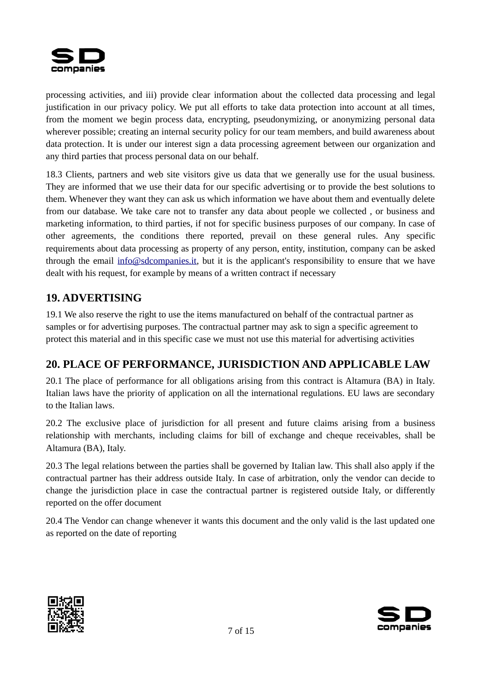

processing activities, and iii) provide clear information about the collected data processing and legal justification in our privacy policy. We put all efforts to take data protection into account at all times, from the moment we begin process data, encrypting, pseudonymizing, or anonymizing personal data wherever possible; creating an internal security policy for our team members, and build awareness about data protection. It is under our interest sign a data processing agreement between our organization and any third parties that process personal data on our behalf.

18.3 Clients, partners and web site visitors give us data that we generally use for the usual business. They are informed that we use their data for our specific advertising or to provide the best solutions to them. Whenever they want they can ask us which information we have about them and eventually delete from our database. We take care not to transfer any data about people we collected , or business and marketing information, to third parties, if not for specific business purposes of our company. In case of other agreements, the conditions there reported, prevail on these general rules. Any specific requirements about data processing as property of any person, entity, institution, company can be asked through the email [info@sdcompanies.it,](mailto:info@sdcompanies.it) but it is the applicant's responsibility to ensure that we have dealt with his request, for example by means of a written contract if necessary

## **19. ADVERTISING**

19.1 We also reserve the right to use the items manufactured on behalf of the contractual partner as samples or for advertising purposes. The contractual partner may ask to sign a specific agreement to protect this material and in this specific case we must not use this material for advertising activities

## **20. PLACE OF PERFORMANCE, JURISDICTION AND APPLICABLE LAW**

20.1 The place of performance for all obligations arising from this contract is Altamura (BA) in Italy. Italian laws have the priority of application on all the international regulations. EU laws are secondary to the Italian laws.

20.2 The exclusive place of jurisdiction for all present and future claims arising from a business relationship with merchants, including claims for bill of exchange and cheque receivables, shall be Altamura (BA), Italy.

20.3 The legal relations between the parties shall be governed by Italian law. This shall also apply if the contractual partner has their address outside Italy. In case of arbitration, only the vendor can decide to change the jurisdiction place in case the contractual partner is registered outside Italy, or differently reported on the offer document

20.4 The Vendor can change whenever it wants this document and the only valid is the last updated one as reported on the date of reporting



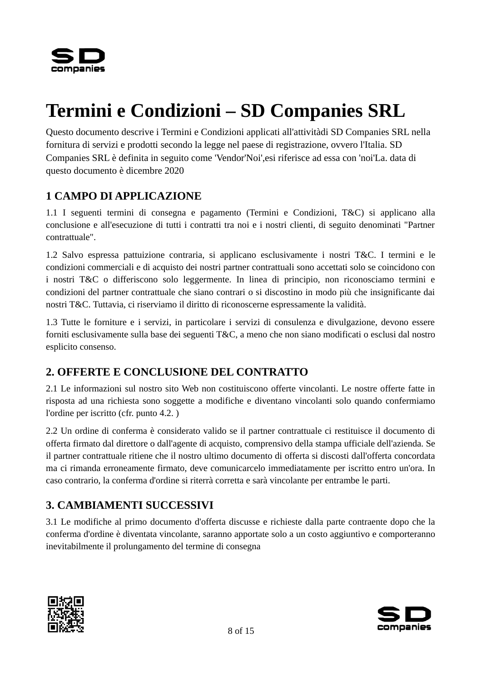

# **Termini e Condizioni – SD Companies SRL**

Questo documento descrive i Termini e Condizioni applicati all'attivitàdi SD Companies SRL nella fornitura di servizi e prodotti secondo la legge nel paese di registrazione, ovvero l'Italia. SD Companies SRL è definita in seguito come 'Vendor'Noi',esi riferisce ad essa con 'noi'La. data di questo documento è dicembre 2020

## **1 CAMPO DI APPLICAZIONE**

1.1 I seguenti termini di consegna e pagamento (Termini e Condizioni, T&C) si applicano alla conclusione e all'esecuzione di tutti i contratti tra noi e i nostri clienti, di seguito denominati "Partner contrattuale".

1.2 Salvo espressa pattuizione contraria, si applicano esclusivamente i nostri T&C. I termini e le condizioni commerciali e di acquisto dei nostri partner contrattuali sono accettati solo se coincidono con i nostri T&C o differiscono solo leggermente. In linea di principio, non riconosciamo termini e condizioni del partner contrattuale che siano contrari o si discostino in modo più che insignificante dai nostri T&C. Tuttavia, ci riserviamo il diritto di riconoscerne espressamente la validità.

1.3 Tutte le forniture e i servizi, in particolare i servizi di consulenza e divulgazione, devono essere forniti esclusivamente sulla base dei seguenti T&C, a meno che non siano modificati o esclusi dal nostro esplicito consenso.

#### **2. OFFERTE E CONCLUSIONE DEL CONTRATTO**

2.1 Le informazioni sul nostro sito Web non costituiscono offerte vincolanti. Le nostre offerte fatte in risposta ad una richiesta sono soggette a modifiche e diventano vincolanti solo quando confermiamo l'ordine per iscritto (cfr. punto 4.2. )

2.2 Un ordine di conferma è considerato valido se il partner contrattuale ci restituisce il documento di offerta firmato dal direttore o dall'agente di acquisto, comprensivo della stampa ufficiale dell'azienda. Se il partner contrattuale ritiene che il nostro ultimo documento di offerta si discosti dall'offerta concordata ma ci rimanda erroneamente firmato, deve comunicarcelo immediatamente per iscritto entro un'ora. In caso contrario, la conferma d'ordine si riterrà corretta e sarà vincolante per entrambe le parti.

## **3. CAMBIAMENTI SUCCESSIVI**

3.1 Le modifiche al primo documento d'offerta discusse e richieste dalla parte contraente dopo che la conferma d'ordine è diventata vincolante, saranno apportate solo a un costo aggiuntivo e comporteranno inevitabilmente il prolungamento del termine di consegna



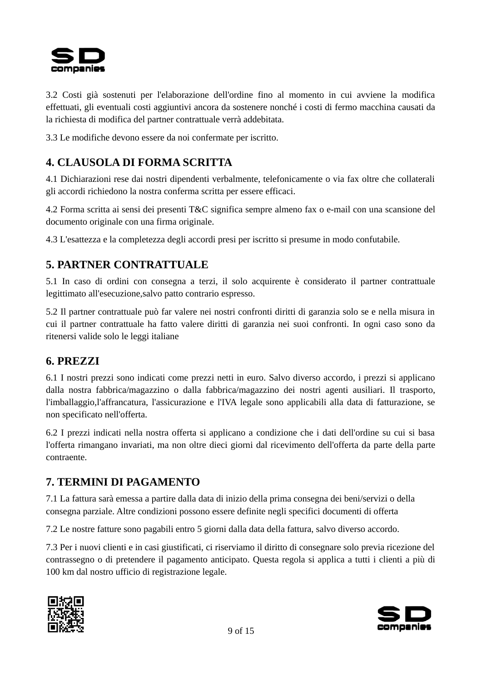

3.2 Costi già sostenuti per l'elaborazione dell'ordine fino al momento in cui avviene la modifica effettuati, gli eventuali costi aggiuntivi ancora da sostenere nonché i costi di fermo macchina causati da la richiesta di modifica del partner contrattuale verrà addebitata.

3.3 Le modifiche devono essere da noi confermate per iscritto.

## **4. CLAUSOLA DI FORMA SCRITTA**

4.1 Dichiarazioni rese dai nostri dipendenti verbalmente, telefonicamente o via fax oltre che collaterali gli accordi richiedono la nostra conferma scritta per essere efficaci.

4.2 Forma scritta ai sensi dei presenti T&C significa sempre almeno fax o e-mail con una scansione del documento originale con una firma originale.

4.3 L'esattezza e la completezza degli accordi presi per iscritto si presume in modo confutabile.

## **5. PARTNER CONTRATTUALE**

5.1 In caso di ordini con consegna a terzi, il solo acquirente è considerato il partner contrattuale legittimato all'esecuzione,salvo patto contrario espresso.

5.2 Il partner contrattuale può far valere nei nostri confronti diritti di garanzia solo se e nella misura in cui il partner contrattuale ha fatto valere diritti di garanzia nei suoi confronti. In ogni caso sono da ritenersi valide solo le leggi italiane

#### **6. PREZZI**

6.1 I nostri prezzi sono indicati come prezzi netti in euro. Salvo diverso accordo, i prezzi si applicano dalla nostra fabbrica/magazzino o dalla fabbrica/magazzino dei nostri agenti ausiliari. Il trasporto, l'imballaggio,l'affrancatura, l'assicurazione e l'IVA legale sono applicabili alla data di fatturazione, se non specificato nell'offerta.

6.2 I prezzi indicati nella nostra offerta si applicano a condizione che i dati dell'ordine su cui si basa l'offerta rimangano invariati, ma non oltre dieci giorni dal ricevimento dell'offerta da parte della parte contraente.

#### **7. TERMINI DI PAGAMENTO**

7.1 La fattura sarà emessa a partire dalla data di inizio della prima consegna dei beni/servizi o della consegna parziale. Altre condizioni possono essere definite negli specifici documenti di offerta

7.2 Le nostre fatture sono pagabili entro 5 giorni dalla data della fattura, salvo diverso accordo.

7.3 Per i nuovi clienti e in casi giustificati, ci riserviamo il diritto di consegnare solo previa ricezione del contrassegno o di pretendere il pagamento anticipato. Questa regola si applica a tutti i clienti a più di 100 km dal nostro ufficio di registrazione legale.



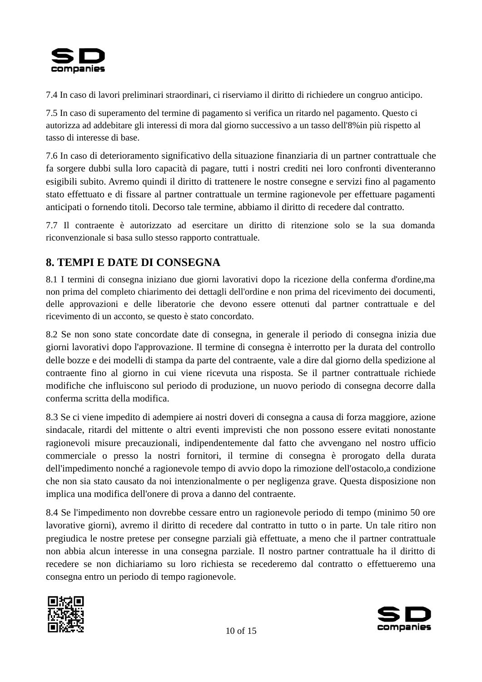

7.4 In caso di lavori preliminari straordinari, ci riserviamo il diritto di richiedere un congruo anticipo.

7.5 In caso di superamento del termine di pagamento si verifica un ritardo nel pagamento. Questo ci autorizza ad addebitare gli interessi di mora dal giorno successivo a un tasso dell'8%in più rispetto al tasso di interesse di base.

7.6 In caso di deterioramento significativo della situazione finanziaria di un partner contrattuale che fa sorgere dubbi sulla loro capacità di pagare, tutti i nostri crediti nei loro confronti diventeranno esigibili subito. Avremo quindi il diritto di trattenere le nostre consegne e servizi fino al pagamento stato effettuato e di fissare al partner contrattuale un termine ragionevole per effettuare pagamenti anticipati o fornendo titoli. Decorso tale termine, abbiamo il diritto di recedere dal contratto.

7.7 Il contraente è autorizzato ad esercitare un diritto di ritenzione solo se la sua domanda riconvenzionale si basa sullo stesso rapporto contrattuale.

## **8. TEMPI E DATE DI CONSEGNA**

8.1 I termini di consegna iniziano due giorni lavorativi dopo la ricezione della conferma d'ordine,ma non prima del completo chiarimento dei dettagli dell'ordine e non prima del ricevimento dei documenti, delle approvazioni e delle liberatorie che devono essere ottenuti dal partner contrattuale e del ricevimento di un acconto, se questo è stato concordato.

8.2 Se non sono state concordate date di consegna, in generale il periodo di consegna inizia due giorni lavorativi dopo l'approvazione. Il termine di consegna è interrotto per la durata del controllo delle bozze e dei modelli di stampa da parte del contraente, vale a dire dal giorno della spedizione al contraente fino al giorno in cui viene ricevuta una risposta. Se il partner contrattuale richiede modifiche che influiscono sul periodo di produzione, un nuovo periodo di consegna decorre dalla conferma scritta della modifica.

8.3 Se ci viene impedito di adempiere ai nostri doveri di consegna a causa di forza maggiore, azione sindacale, ritardi del mittente o altri eventi imprevisti che non possono essere evitati nonostante ragionevoli misure precauzionali, indipendentemente dal fatto che avvengano nel nostro ufficio commerciale o presso la nostri fornitori, il termine di consegna è prorogato della durata dell'impedimento nonché a ragionevole tempo di avvio dopo la rimozione dell'ostacolo,a condizione che non sia stato causato da noi intenzionalmente o per negligenza grave. Questa disposizione non implica una modifica dell'onere di prova a danno del contraente.

8.4 Se l'impedimento non dovrebbe cessare entro un ragionevole periodo di tempo (minimo 50 ore lavorative giorni), avremo il diritto di recedere dal contratto in tutto o in parte. Un tale ritiro non pregiudica le nostre pretese per consegne parziali già effettuate, a meno che il partner contrattuale non abbia alcun interesse in una consegna parziale. Il nostro partner contrattuale ha il diritto di recedere se non dichiariamo su loro richiesta se recederemo dal contratto o effettueremo una consegna entro un periodo di tempo ragionevole.



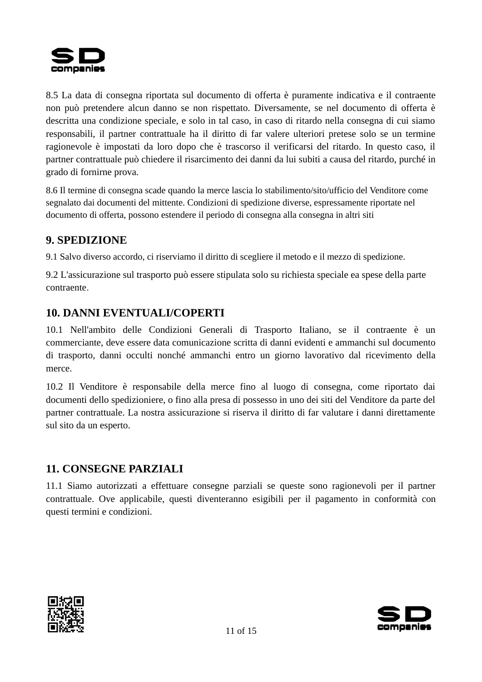

8.5 La data di consegna riportata sul documento di offerta è puramente indicativa e il contraente non può pretendere alcun danno se non rispettato. Diversamente, se nel documento di offerta è descritta una condizione speciale, e solo in tal caso, in caso di ritardo nella consegna di cui siamo responsabili, il partner contrattuale ha il diritto di far valere ulteriori pretese solo se un termine ragionevole è impostati da loro dopo che è trascorso il verificarsi del ritardo. In questo caso, il partner contrattuale può chiedere il risarcimento dei danni da lui subiti a causa del ritardo, purché in grado di fornirne prova.

8.6 Il termine di consegna scade quando la merce lascia lo stabilimento/sito/ufficio del Venditore come segnalato dai documenti del mittente. Condizioni di spedizione diverse, espressamente riportate nel documento di offerta, possono estendere il periodo di consegna alla consegna in altri siti

## **9. SPEDIZIONE**

9.1 Salvo diverso accordo, ci riserviamo il diritto di scegliere il metodo e il mezzo di spedizione.

9.2 L'assicurazione sul trasporto può essere stipulata solo su richiesta speciale ea spese della parte contraente.

## **10. DANNI EVENTUALI/COPERTI**

10.1 Nell'ambito delle Condizioni Generali di Trasporto Italiano, se il contraente è un commerciante, deve essere data comunicazione scritta di danni evidenti e ammanchi sul documento di trasporto, danni occulti nonché ammanchi entro un giorno lavorativo dal ricevimento della merce.

10.2 Il Venditore è responsabile della merce fino al luogo di consegna, come riportato dai documenti dello spedizioniere, o fino alla presa di possesso in uno dei siti del Venditore da parte del partner contrattuale. La nostra assicurazione si riserva il diritto di far valutare i danni direttamente sul sito da un esperto.

## **11. CONSEGNE PARZIALI**

11.1 Siamo autorizzati a effettuare consegne parziali se queste sono ragionevoli per il partner contrattuale. Ove applicabile, questi diventeranno esigibili per il pagamento in conformità con questi termini e condizioni.



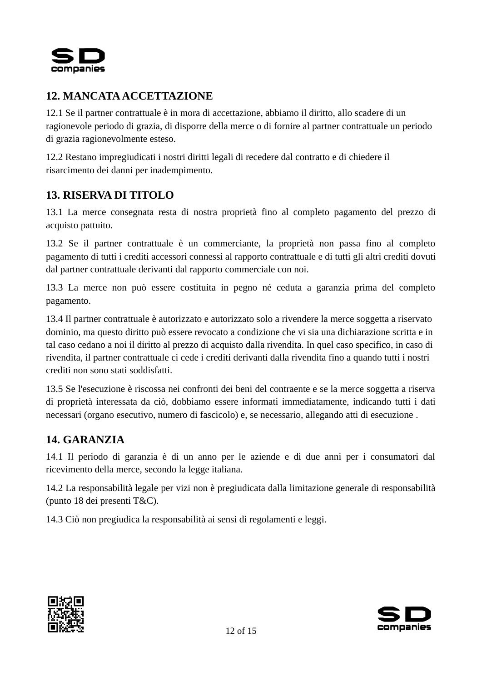

## **12. MANCATA ACCETTAZIONE**

12.1 Se il partner contrattuale è in mora di accettazione, abbiamo il diritto, allo scadere di un ragionevole periodo di grazia, di disporre della merce o di fornire al partner contrattuale un periodo di grazia ragionevolmente esteso.

12.2 Restano impregiudicati i nostri diritti legali di recedere dal contratto e di chiedere il risarcimento dei danni per inadempimento.

## **13. RISERVA DI TITOLO**

13.1 La merce consegnata resta di nostra proprietà fino al completo pagamento del prezzo di acquisto pattuito.

13.2 Se il partner contrattuale è un commerciante, la proprietà non passa fino al completo pagamento di tutti i crediti accessori connessi al rapporto contrattuale e di tutti gli altri crediti dovuti dal partner contrattuale derivanti dal rapporto commerciale con noi.

13.3 La merce non può essere costituita in pegno né ceduta a garanzia prima del completo pagamento.

13.4 Il partner contrattuale è autorizzato e autorizzato solo a rivendere la merce soggetta a riservato dominio, ma questo diritto può essere revocato a condizione che vi sia una dichiarazione scritta e in tal caso cedano a noi il diritto al prezzo di acquisto dalla rivendita. In quel caso specifico, in caso di rivendita, il partner contrattuale ci cede i crediti derivanti dalla rivendita fino a quando tutti i nostri crediti non sono stati soddisfatti.

13.5 Se l'esecuzione è riscossa nei confronti dei beni del contraente e se la merce soggetta a riserva di proprietà interessata da ciò, dobbiamo essere informati immediatamente, indicando tutti i dati necessari (organo esecutivo, numero di fascicolo) e, se necessario, allegando atti di esecuzione .

## **14. GARANZIA**

14.1 Il periodo di garanzia è di un anno per le aziende e di due anni per i consumatori dal ricevimento della merce, secondo la legge italiana.

14.2 La responsabilità legale per vizi non è pregiudicata dalla limitazione generale di responsabilità (punto 18 dei presenti T&C).

14.3 Ciò non pregiudica la responsabilità ai sensi di regolamenti e leggi.



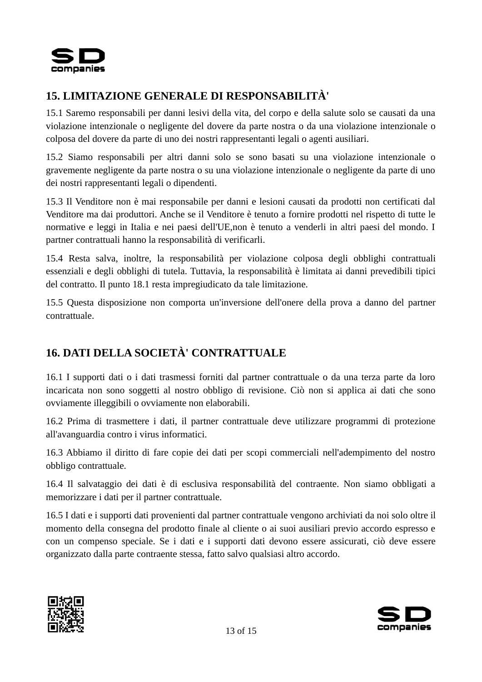

## **15. LIMITAZIONE GENERALE DI RESPONSABILITÀ'**

15.1 Saremo responsabili per danni lesivi della vita, del corpo e della salute solo se causati da una violazione intenzionale o negligente del dovere da parte nostra o da una violazione intenzionale o colposa del dovere da parte di uno dei nostri rappresentanti legali o agenti ausiliari.

15.2 Siamo responsabili per altri danni solo se sono basati su una violazione intenzionale o gravemente negligente da parte nostra o su una violazione intenzionale o negligente da parte di uno dei nostri rappresentanti legali o dipendenti.

15.3 Il Venditore non è mai responsabile per danni e lesioni causati da prodotti non certificati dal Venditore ma dai produttori. Anche se il Venditore è tenuto a fornire prodotti nel rispetto di tutte le normative e leggi in Italia e nei paesi dell'UE,non è tenuto a venderli in altri paesi del mondo. I partner contrattuali hanno la responsabilità di verificarli.

15.4 Resta salva, inoltre, la responsabilità per violazione colposa degli obblighi contrattuali essenziali e degli obblighi di tutela. Tuttavia, la responsabilità è limitata ai danni prevedibili tipici del contratto. Il punto 18.1 resta impregiudicato da tale limitazione.

15.5 Questa disposizione non comporta un'inversione dell'onere della prova a danno del partner contrattuale.

# **16. DATI DELLA SOCIETÀ' CONTRATTUALE**

16.1 I supporti dati o i dati trasmessi forniti dal partner contrattuale o da una terza parte da loro incaricata non sono soggetti al nostro obbligo di revisione. Ciò non si applica ai dati che sono ovviamente illeggibili o ovviamente non elaborabili.

16.2 Prima di trasmettere i dati, il partner contrattuale deve utilizzare programmi di protezione all'avanguardia contro i virus informatici.

16.3 Abbiamo il diritto di fare copie dei dati per scopi commerciali nell'adempimento del nostro obbligo contrattuale.

16.4 Il salvataggio dei dati è di esclusiva responsabilità del contraente. Non siamo obbligati a memorizzare i dati per il partner contrattuale.

16.5 I dati e i supporti dati provenienti dal partner contrattuale vengono archiviati da noi solo oltre il momento della consegna del prodotto finale al cliente o ai suoi ausiliari previo accordo espresso e con un compenso speciale. Se i dati e i supporti dati devono essere assicurati, ciò deve essere organizzato dalla parte contraente stessa, fatto salvo qualsiasi altro accordo.



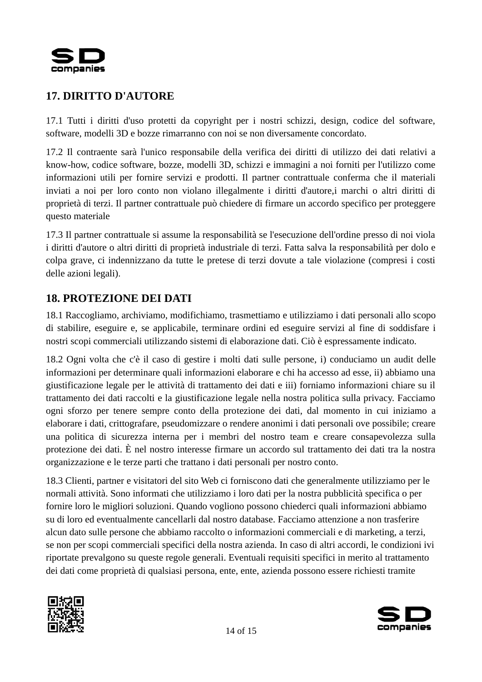

## **17. DIRITTO D'AUTORE**

17.1 Tutti i diritti d'uso protetti da copyright per i nostri schizzi, design, codice del software, software, modelli 3D e bozze rimarranno con noi se non diversamente concordato.

17.2 Il contraente sarà l'unico responsabile della verifica dei diritti di utilizzo dei dati relativi a know-how, codice software, bozze, modelli 3D, schizzi e immagini a noi forniti per l'utilizzo come informazioni utili per fornire servizi e prodotti. Il partner contrattuale conferma che il materiali inviati a noi per loro conto non violano illegalmente i diritti d'autore,i marchi o altri diritti di proprietà di terzi. Il partner contrattuale può chiedere di firmare un accordo specifico per proteggere questo materiale

17.3 Il partner contrattuale si assume la responsabilità se l'esecuzione dell'ordine presso di noi viola i diritti d'autore o altri diritti di proprietà industriale di terzi. Fatta salva la responsabilità per dolo e colpa grave, ci indennizzano da tutte le pretese di terzi dovute a tale violazione (compresi i costi delle azioni legali).

## **18. PROTEZIONE DEI DATI**

18.1 Raccogliamo, archiviamo, modifichiamo, trasmettiamo e utilizziamo i dati personali allo scopo di stabilire, eseguire e, se applicabile, terminare ordini ed eseguire servizi al fine di soddisfare i nostri scopi commerciali utilizzando sistemi di elaborazione dati. Ciò è espressamente indicato.

18.2 Ogni volta che c'è il caso di gestire i molti dati sulle persone, i) conduciamo un audit delle informazioni per determinare quali informazioni elaborare e chi ha accesso ad esse, ii) abbiamo una giustificazione legale per le attività di trattamento dei dati e iii) forniamo informazioni chiare su il trattamento dei dati raccolti e la giustificazione legale nella nostra politica sulla privacy. Facciamo ogni sforzo per tenere sempre conto della protezione dei dati, dal momento in cui iniziamo a elaborare i dati, crittografare, pseudomizzare o rendere anonimi i dati personali ove possibile; creare una politica di sicurezza interna per i membri del nostro team e creare consapevolezza sulla protezione dei dati. È nel nostro interesse firmare un accordo sul trattamento dei dati tra la nostra organizzazione e le terze parti che trattano i dati personali per nostro conto.

18.3 Clienti, partner e visitatori del sito Web ci forniscono dati che generalmente utilizziamo per le normali attività. Sono informati che utilizziamo i loro dati per la nostra pubblicità specifica o per fornire loro le migliori soluzioni. Quando vogliono possono chiederci quali informazioni abbiamo su di loro ed eventualmente cancellarli dal nostro database. Facciamo attenzione a non trasferire alcun dato sulle persone che abbiamo raccolto o informazioni commerciali e di marketing, a terzi, se non per scopi commerciali specifici della nostra azienda. In caso di altri accordi, le condizioni ivi riportate prevalgono su queste regole generali. Eventuali requisiti specifici in merito al trattamento dei dati come proprietà di qualsiasi persona, ente, ente, azienda possono essere richiesti tramite